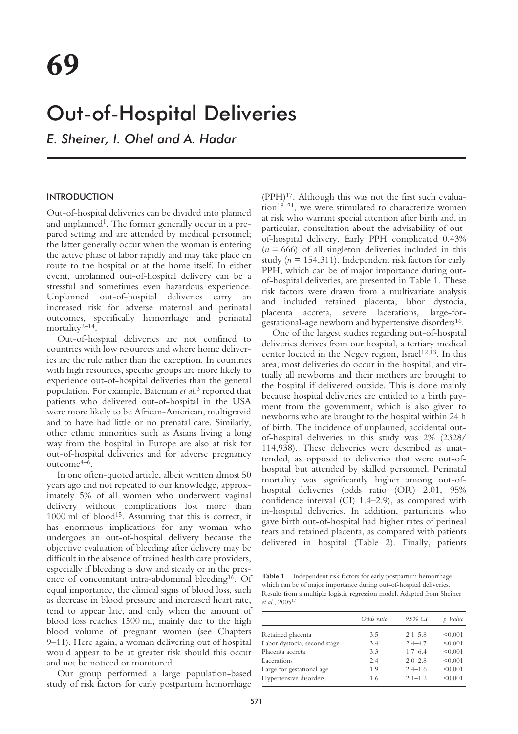# Out-of-Hospital Deliveries

*E. Sheiner, I. Ohel and A. Hadar*

## **INTRODUCTION**

Out-of-hospital deliveries can be divided into planned and unplanned<sup>1</sup>. The former generally occur in a prepared setting and are attended by medical personnel; the latter generally occur when the woman is entering the active phase of labor rapidly and may take place en route to the hospital or at the home itself. In either event, unplanned out-of-hospital delivery can be a stressful and sometimes even hazardous experience. Unplanned out-of-hospital deliveries carry an increased risk for adverse maternal and perinatal outcomes, specifically hemorrhage and perinatal mortality2–14.

Out-of-hospital deliveries are not confined to countries with low resources and where home deliveries are the rule rather than the exception. In countries with high resources, specific groups are more likely to experience out-of-hospital deliveries than the general population. For example, Bateman *et al*. <sup>3</sup> reported that patients who delivered out-of-hospital in the USA were more likely to be African-American, multigravid and to have had little or no prenatal care. Similarly, other ethnic minorities such as Asians living a long way from the hospital in Europe are also at risk for out-of-hospital deliveries and for adverse pregnancy outcome4–6.

In one often-quoted article, albeit written almost 50 years ago and not repeated to our knowledge, approximately 5% of all women who underwent vaginal delivery without complications lost more than 1000 ml of blood<sup>15</sup>. Assuming that this is correct, it has enormous implications for any woman who undergoes an out-of-hospital delivery because the objective evaluation of bleeding after delivery may be difficult in the absence of trained health care providers, especially if bleeding is slow and steady or in the presence of concomitant intra-abdominal bleeding<sup>16</sup>. Of equal importance, the clinical signs of blood loss, such as decrease in blood pressure and increased heart rate, tend to appear late, and only when the amount of blood loss reaches 1500 ml, mainly due to the high blood volume of pregnant women (see Chapters 9–11). Here again, a woman delivering out of hospital would appear to be at greater risk should this occur and not be noticed or monitored.

Our group performed a large population-based study of risk factors for early postpartum hemorrhage

(PPH)17. Although this was not the first such evaluation<sup>18–21</sup>, we were stimulated to characterize women at risk who warrant special attention after birth and, in particular, consultation about the advisability of outof-hospital delivery. Early PPH complicated 0.43% (*n =* 666) of all singleton deliveries included in this study (*n =* 154,311). Independent risk factors for early PPH, which can be of major importance during outof-hospital deliveries, are presented in Table 1. These risk factors were drawn from a multivariate analysis and included retained placenta, labor dystocia, placenta accreta, severe lacerations, large-forgestational-age newborn and hypertensive disorders<sup>16</sup>.

One of the largest studies regarding out-of-hospital deliveries derives from our hospital, a tertiary medical center located in the Negev region, Israel<sup>12,13</sup>. In this area, most deliveries do occur in the hospital, and virtually all newborns and their mothers are brought to the hospital if delivered outside. This is done mainly because hospital deliveries are entitled to a birth payment from the government, which is also given to newborns who are brought to the hospital within 24 h of birth. The incidence of unplanned, accidental outof-hospital deliveries in this study was 2% (2328/ 114,938). These deliveries were described as unattended, as opposed to deliveries that were out-ofhospital but attended by skilled personnel. Perinatal mortality was significantly higher among out-ofhospital deliveries (odds ratio (OR) 2.01, 95% confidence interval (CI) 1.4–2.9), as compared with in-hospital deliveries. In addition, parturients who gave birth out-of-hospital had higher rates of perineal tears and retained placenta, as compared with patients delivered in hospital (Table 2). Finally, patients

**Table 1** Independent risk factors for early postpartum hemorrhage, which can be of major importance during out-of-hospital deliveries. Results from a multiple logistic regression model. Adapted from Sheiner *et al.*, 2005<sup>1</sup>

|                              | Odds ratio | 95% CI      | Value   |
|------------------------------|------------|-------------|---------|
| Retained placenta            | 3.5        | $2.1 - 5.8$ | < 0.001 |
| Labor dystocia, second stage | 3.4        | $2.4 - 4.7$ | < 0.001 |
| Placenta accreta             | 3.3        | $1.7 - 6.4$ | < 0.001 |
| Lacerations                  | 2.4        | $2.0 - 2.8$ | < 0.001 |
| Large for gestational age    | 1.9        | $2.4 - 1.6$ | < 0.001 |
| Hypertensive disorders       | 1.6        | $2.1 - 1.2$ | < 0.001 |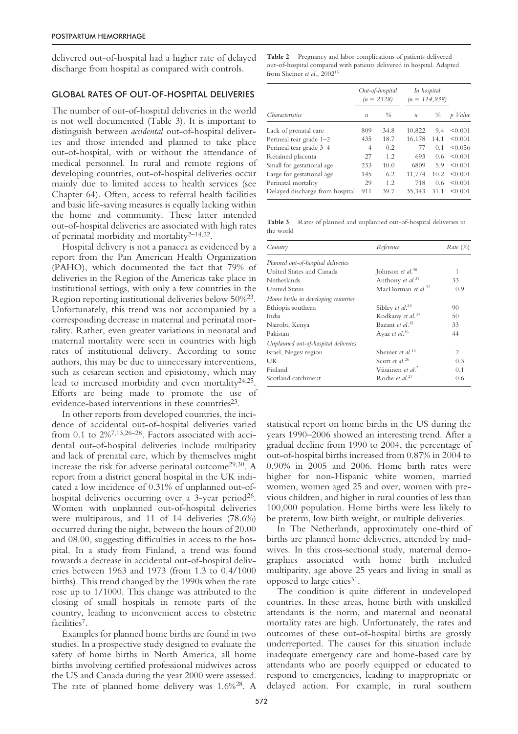delivered out-of-hospital had a higher rate of delayed discharge from hospital as compared with controls.

#### GLOBAL RATES OF OUT-OF-HOSPITAL DELIVERIES

The number of out-of-hospital deliveries in the world is not well documented (Table 3). It is important to distinguish between *accidental* out-of-hospital deliveries and those intended and planned to take place out-of-hospital, with or without the attendance of medical personnel. In rural and remote regions of developing countries, out-of-hospital deliveries occur mainly due to limited access to health services (see Chapter 64). Often, access to referral health facilities and basic life-saving measures is equally lacking within the home and community. These latter intended out-of-hospital deliveries are associated with high rates of perinatal morbidity and mortality2–14,22.

Hospital delivery is not a panacea as evidenced by a report from the Pan American Health Organization (PAHO), which documented the fact that 79% of deliveries in the Region of the Americas take place in institutional settings, with only a few countries in the Region reporting institutional deliveries below 50%23. Unfortunately, this trend was not accompanied by a corresponding decrease in maternal and perinatal mortality. Rather, even greater variations in neonatal and maternal mortality were seen in countries with high rates of institutional delivery. According to some authors, this may be due to unnecessary interventions, such as cesarean section and episiotomy, which may lead to increased morbidity and even mortality $24.25$ . Efforts are being made to promote the use of evidence-based interventions in these countries<sup>23</sup>.

In other reports from developed countries, the incidence of accidental out-of-hospital deliveries varied from 0.1 to  $2\frac{3}{13}$ ,  $26-28$ . Factors associated with accidental out-of-hospital deliveries include multiparity and lack of prenatal care, which by themselves might increase the risk for adverse perinatal outcome29,30. A report from a district general hospital in the UK indicated a low incidence of 0.31% of unplanned out-ofhospital deliveries occurring over a 3-year period<sup>26</sup>. Women with unplanned out-of-hospital deliveries were multiparous, and 11 of 14 deliveries (78.6%) occurred during the night, between the hours of 20.00 and 08.00, suggesting difficulties in access to the hospital. In a study from Finland, a trend was found towards a decrease in accidental out-of-hospital deliveries between 1963 and 1973 (from 1.3 to 0.4/1000 births). This trend changed by the 1990s when the rate rose up to 1/1000. This change was attributed to the closing of small hospitals in remote parts of the country, leading to inconvenient access to obstetric facilities<sup>7</sup>.

Examples for planned home births are found in two studies. In a prospective study designed to evaluate the safety of home births in North America, all home births involving certified professional midwives across the US and Canada during the year 2000 were assessed. The rate of planned home delivery was 1.6%28. A

**Table 2** Pregnancy and labor complications of patients delivered out-of-hospital compared with patients delivered in hospital. Adapted from Sheiner *et al*., 200213

|                                 | Out-of-hospital<br>$(n = 2328)$ |               | In hospital<br>$(n = 114, 938)$ |                |         |
|---------------------------------|---------------------------------|---------------|---------------------------------|----------------|---------|
| Characteristics                 | $\boldsymbol{n}$                | $\frac{0}{0}$ | $\boldsymbol{n}$                | $\frac{0}{0}$  | p Value |
| Lack of prenatal care           | 809                             | 34.8          | 10,822                          | 9.4            | < 0.001 |
| Perineal tear grade 1-2         | 435                             | 18.7          | 16,178                          | 14.1           | < 0.001 |
| Perineal tear grade 3-4         | 4                               | 0.2           | 77                              | 0 <sub>1</sub> | < 0.056 |
| Retained placenta               | 27                              | 1.2           | 693                             | 0.6            | < 0.001 |
| Small for gestational age       | 233                             | 10.0          | 6809                            | 5.9            | < 0.001 |
| Large for gestational age       | 145                             | 6.2           | 11,774                          | 10.2           | < 0.001 |
| Perinatal mortality             | 29                              | 1.2           | 718                             | 0.6            | < 0.001 |
| Delayed discharge from hospital | 911                             | 39.7          | 35.343                          | 31.1           | < 0.001 |

**Table 3** Rates of planned and unplanned out-of-hospital deliveries in the world

| Country                              | Reference                      | Rate (%) |
|--------------------------------------|--------------------------------|----------|
| Planned out-of-hospital deliveries   |                                |          |
| United States and Canada             | Johnson et al. <sup>28</sup>   | 1        |
| Netherlands                          | Anthony et al. <sup>31</sup>   | 33       |
| <b>United States</b>                 | MacDorman et al. <sup>32</sup> | 0.9      |
| Home births in developing countries  |                                |          |
| Ethiopia southern                    | Sibley et al. <sup>33</sup>    | 90       |
| India                                | Kodkany et al. <sup>34</sup>   | 50       |
| Nairobi, Kenya                       | Bazant et al. <sup>35</sup>    | 33       |
| Pakistan                             | Ayaz et al. <sup>36</sup>      | 44       |
| Unplanned out-of-hospital deliveries |                                |          |
| Israel, Negev region                 | Sheiner et al. <sup>13</sup>   | 2        |
| UK                                   | Scott et al. <sup>26</sup>     | 0.3      |
| Finland                              | Viisainen et al. <sup>7</sup>  | 0.1      |
| Scotland catchment                   | Rodie et al. <sup>27</sup>     | 0.6      |

statistical report on home births in the US during the years 1990–2006 showed an interesting trend. After a gradual decline from 1990 to 2004, the percentage of out-of-hospital births increased from 0.87% in 2004 to 0.90% in 2005 and 2006. Home birth rates were higher for non-Hispanic white women, married women, women aged 25 and over, women with previous children, and higher in rural counties of less than 100,000 population. Home births were less likely to be preterm, low birth weight, or multiple deliveries.

In The Netherlands, approximately one-third of births are planned home deliveries, attended by midwives. In this cross-sectional study, maternal demographics associated with home birth included multiparity, age above 25 years and living in small as opposed to large cities<sup>31</sup>.

The condition is quite different in undeveloped countries. In these areas, home birth with unskilled attendants is the norm, and maternal and neonatal mortality rates are high. Unfortunately, the rates and outcomes of these out-of-hospital births are grossly underreported. The causes for this situation include inadequate emergency care and home-based care by attendants who are poorly equipped or educated to respond to emergencies, leading to inappropriate or delayed action. For example, in rural southern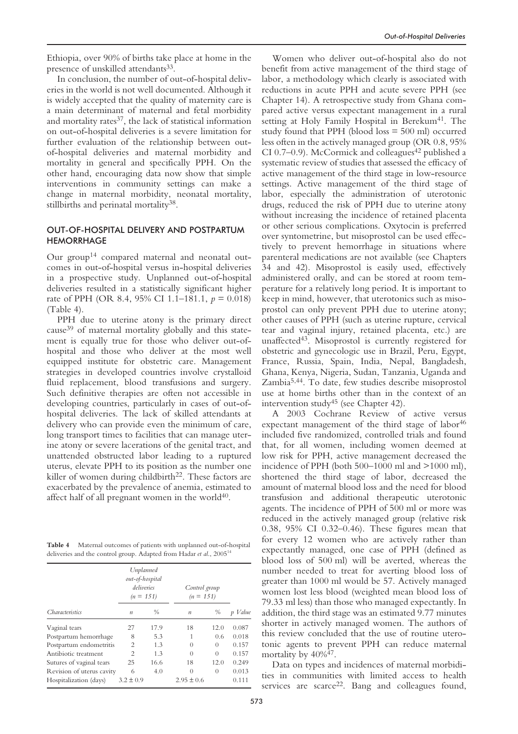Ethiopia, over 90% of births take place at home in the presence of unskilled attendants<sup>33</sup>.

In conclusion, the number of out-of-hospital deliveries in the world is not well documented. Although it is widely accepted that the quality of maternity care is a main determinant of maternal and fetal morbidity and mortality rates<sup>37</sup>, the lack of statistical information on out-of-hospital deliveries is a severe limitation for further evaluation of the relationship between outof-hospital deliveries and maternal morbidity and mortality in general and specifically PPH. On the other hand, encouraging data now show that simple interventions in community settings can make a change in maternal morbidity, neonatal mortality, stillbirths and perinatal mortality<sup>38</sup>.

### OUT-OF-HOSPITAL DELIVERY AND POSTPARTUM **HEMORRHAGE**

Our group14 compared maternal and neonatal outcomes in out-of-hospital versus in-hospital deliveries in a prospective study. Unplanned out-of-hospital deliveries resulted in a statistically significant higher rate of PPH (OR 8.4, 95% CI 1.1–181.1, *p =* 0.018) (Table 4).

PPH due to uterine atony is the primary direct cause39 of maternal mortality globally and this statement is equally true for those who deliver out-ofhospital and those who deliver at the most well equipped institute for obstetric care. Management strategies in developed countries involve crystalloid fluid replacement, blood transfusions and surgery. Such definitive therapies are often not accessible in developing countries, particularly in cases of out-ofhospital deliveries. The lack of skilled attendants at delivery who can provide even the minimum of care, long transport times to facilities that can manage uterine atony or severe lacerations of the genital tract, and unattended obstructed labor leading to a ruptured uterus, elevate PPH to its position as the number one killer of women during childbirth<sup>22</sup>. These factors are exacerbated by the prevalence of anemia, estimated to affect half of all pregnant women in the world $40$ .

**Table 4** Maternal outcomes of patients with unplanned out-of-hospital deliveries and the control group. Adapted from Hadar *et al*., 200514

|                           | Unplanned<br>out-of-hospital<br>deliveries<br>$(n = 151)$ |      |                  | Control group<br>$(n = 151)$ |         |
|---------------------------|-----------------------------------------------------------|------|------------------|------------------------------|---------|
| <i>Characteristics</i>    | $\boldsymbol{n}$                                          | $\%$ | $\boldsymbol{n}$ | %                            | p Value |
| Vaginal tears             | 27                                                        | 17.9 | 18               | 12.0                         | 0.087   |
| Postpartum hemorrhage     | 8                                                         | 5.3  | 1                | 0.6                          | 0.018   |
| Postpartum endometritis   | $\overline{c}$                                            | 1.3  | 0                | $\Omega$                     | 0.157   |
| Antibiotic treatment      | 2                                                         | 1.3  | $\Omega$         | $\Omega$                     | 0.157   |
| Sutures of vaginal tears  | 25                                                        | 16.6 | 18               | 12.0                         | 0.249   |
| Revision of uterus cavity | 6                                                         | 4.0  | $\theta$         | $\theta$                     | 0.013   |
| Hospitalization (days)    | $3.2 \pm 0.9$                                             |      | $2.95 \pm 0.6$   |                              | 0.111   |

Women who deliver out-of-hospital also do not benefit from active management of the third stage of labor, a methodology which clearly is associated with reductions in acute PPH and acute severe PPH (see Chapter 14). A retrospective study from Ghana compared active versus expectant management in a rural setting at Holy Family Hospital in Berekum<sup>41</sup>. The study found that PPH (blood  $loss = 500$  ml) occurred less often in the actively managed group (OR 0.8, 95% CI 0.7–0.9). McCormick and colleagues<sup>42</sup> published a systematic review of studies that assessed the efficacy of active management of the third stage in low-resource settings. Active management of the third stage of labor, especially the administration of uterotonic drugs, reduced the risk of PPH due to uterine atony without increasing the incidence of retained placenta or other serious complications. Oxytocin is preferred over syntometrine, but misoprostol can be used effectively to prevent hemorrhage in situations where parenteral medications are not available (see Chapters 34 and 42). Misoprostol is easily used, effectively administered orally, and can be stored at room temperature for a relatively long period. It is important to keep in mind, however, that uterotonics such as misoprostol can only prevent PPH due to uterine atony; other causes of PPH (such as uterine rupture, cervical tear and vaginal injury, retained placenta, etc.) are unaffected43. Misoprostol is currently registered for obstetric and gynecologic use in Brazil, Peru, Egypt, France, Russia, Spain, India, Nepal, Bangladesh, Ghana, Kenya, Nigeria, Sudan, Tanzania, Uganda and Zambia5,44. To date, few studies describe misoprostol use at home births other than in the context of an intervention study<sup>45</sup> (see Chapter 42).

A 2003 Cochrane Review of active versus expectant management of the third stage of labor<sup>46</sup> included five randomized, controlled trials and found that, for all women, including women deemed at low risk for PPH, active management decreased the incidence of PPH (both 500–1000 ml and >1000 ml), shortened the third stage of labor, decreased the amount of maternal blood loss and the need for blood transfusion and additional therapeutic uterotonic agents. The incidence of PPH of 500 ml or more was reduced in the actively managed group (relative risk 0.38, 95% CI 0.32–0.46). These figures mean that for every 12 women who are actively rather than expectantly managed, one case of PPH (defined as blood loss of 500 ml) will be averted, whereas the number needed to treat for averting blood loss of greater than 1000 ml would be 57. Actively managed women lost less blood (weighted mean blood loss of 79.33 ml less) than those who managed expectantly. In addition, the third stage was an estimated 9.77 minutes shorter in actively managed women. The authors of this review concluded that the use of routine uterotonic agents to prevent PPH can reduce maternal mortality by 40%47.

Data on types and incidences of maternal morbidities in communities with limited access to health services are scarce<sup>22</sup>. Bang and colleagues found,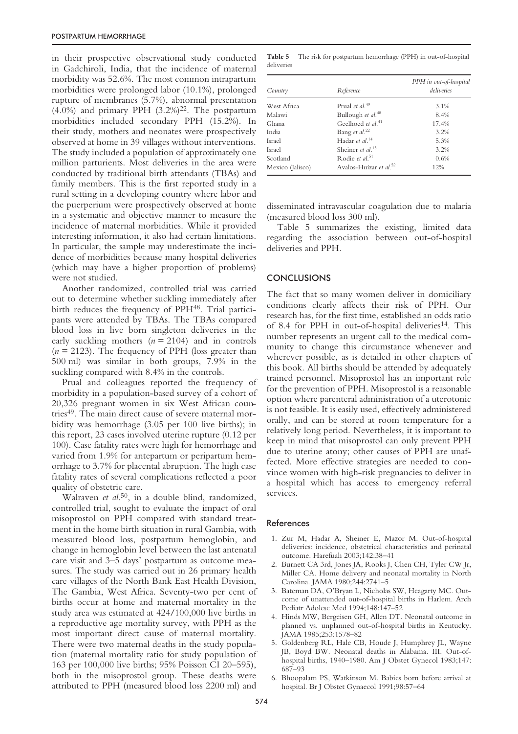in their prospective observational study conducted in Gadchiroli, India, that the incidence of maternal morbidity was 52.6%. The most common intrapartum morbidities were prolonged labor (10.1%), prolonged rupture of membranes (5.7%), abnormal presentation  $(4.0\%)$  and primary PPH  $(3.2\%)^{22}$ . The postpartum morbidities included secondary PPH (15.2%). In their study, mothers and neonates were prospectively observed at home in 39 villages without interventions. The study included a population of approximately one million parturients. Most deliveries in the area were conducted by traditional birth attendants (TBAs) and family members. This is the first reported study in a rural setting in a developing country where labor and the puerperium were prospectively observed at home in a systematic and objective manner to measure the incidence of maternal morbidities. While it provided interesting information, it also had certain limitations. In particular, the sample may underestimate the incidence of morbidities because many hospital deliveries (which may have a higher proportion of problems) were not studied.

Another randomized, controlled trial was carried out to determine whether suckling immediately after birth reduces the frequency of PPH48. Trial participants were attended by TBAs. The TBAs compared blood loss in live born singleton deliveries in the early suckling mothers  $(n = 2104)$  and in controls  $(n = 2123)$ . The frequency of PPH (loss greater than 500 ml) was similar in both groups, 7.9% in the suckling compared with 8.4% in the controls.

Prual and colleagues reported the frequency of morbidity in a population-based survey of a cohort of 20,326 pregnant women in six West African countries<sup>49</sup>. The main direct cause of severe maternal morbidity was hemorrhage (3.05 per 100 live births); in this report, 23 cases involved uterine rupture (0.12 per 100). Case fatality rates were high for hemorrhage and varied from 1.9% for antepartum or peripartum hemorrhage to 3.7% for placental abruption. The high case fatality rates of several complications reflected a poor quality of obstetric care.

Walraven *et al*. 50, in a double blind, randomized, controlled trial, sought to evaluate the impact of oral misoprostol on PPH compared with standard treatment in the home birth situation in rural Gambia, with measured blood loss, postpartum hemoglobin, and change in hemoglobin level between the last antenatal care visit and 3–5 days' postpartum as outcome measures. The study was carried out in 26 primary health care villages of the North Bank East Health Division, The Gambia, West Africa. Seventy-two per cent of births occur at home and maternal mortality in the study area was estimated at 424/100,000 live births in a reproductive age mortality survey, with PPH as the most important direct cause of maternal mortality. There were two maternal deaths in the study population (maternal mortality ratio for study population of 163 per 100,000 live births; 95% Poisson CI 20–595), both in the misoprostol group. These deaths were attributed to PPH (measured blood loss 2200 ml) and

**Table 5** The risk for postpartum hemorrhage (PPH) in out-of-hospital deliveries

| Country          | Reference                          | PPH in out-of-hospital<br>deliveries |
|------------------|------------------------------------|--------------------------------------|
| West Africa      | Prual et al. <sup>49</sup>         | 3.1%                                 |
| Malawi           | Bullough et al. <sup>48</sup>      | 8.4%                                 |
| Ghana            | Geelhoed et al. <sup>41</sup>      | 17.4%                                |
| India            | Bang et al. <sup>22</sup>          | 3.2%                                 |
| Israel           | Hadar et al. $14$                  | 5.3%                                 |
| Israel           | Sheiner et al. <sup>13</sup>       | 3.2%                                 |
| Scotland         | Rodie et $d^{51}$                  | 0.6%                                 |
| Mexico (Jalisco) | Avalos-Huízar et al. <sup>52</sup> | 12%                                  |

disseminated intravascular coagulation due to malaria (measured blood loss 300 ml).

Table 5 summarizes the existing, limited data regarding the association between out-of-hospital deliveries and PPH.

#### **CONCLUSIONS**

The fact that so many women deliver in domiciliary conditions clearly affects their risk of PPH. Our research has, for the first time, established an odds ratio of 8.4 for PPH in out-of-hospital deliveries<sup>14</sup>. This number represents an urgent call to the medical community to change this circumstance whenever and wherever possible, as is detailed in other chapters of this book. All births should be attended by adequately trained personnel. Misoprostol has an important role for the prevention of PPH. Misoprostol is a reasonable option where parenteral administration of a uterotonic is not feasible. It is easily used, effectively administered orally, and can be stored at room temperature for a relatively long period. Nevertheless, it is important to keep in mind that misoprostol can only prevent PPH due to uterine atony; other causes of PPH are unaffected. More effective strategies are needed to convince women with high-risk pregnancies to deliver in a hospital which has access to emergency referral services.

#### References

- 1. Zur M, Hadar A, Sheiner E, Mazor M. Out-of-hospital deliveries: incidence, obstetrical characteristics and perinatal outcome. Harefuah 2003;142:38–41
- 2. Burnett CA 3rd, Jones JA, Rooks J, Chen CH, Tyler CW Jr, Miller CA. Home delivery and neonatal mortality in North Carolina. JAMA 1980;244:2741–5
- 3. Bateman DA, O'Bryan L, Nicholas SW, Heagarty MC. Outcome of unattended out-of-hospital births in Harlem. Arch Pediatr Adolesc Med 1994;148:147–52
- 4. Hinds MW, Bergeisen GH, Allen DT. Neonatal outcome in planned vs. unplanned out-of-hospital births in Kentucky. JAMA 1985;253:1578–82
- 5. Goldenberg RL, Hale CB, Houde J, Humphrey JL, Wayne JB, Boyd BW. Neonatal deaths in Alabama. III. Out-ofhospital births, 1940–1980. Am J Obstet Gynecol 1983;147: 687–93
- 6. Bhoopalam PS, Watkinson M. Babies born before arrival at hospital. Br J Obstet Gynaecol 1991;98:57–64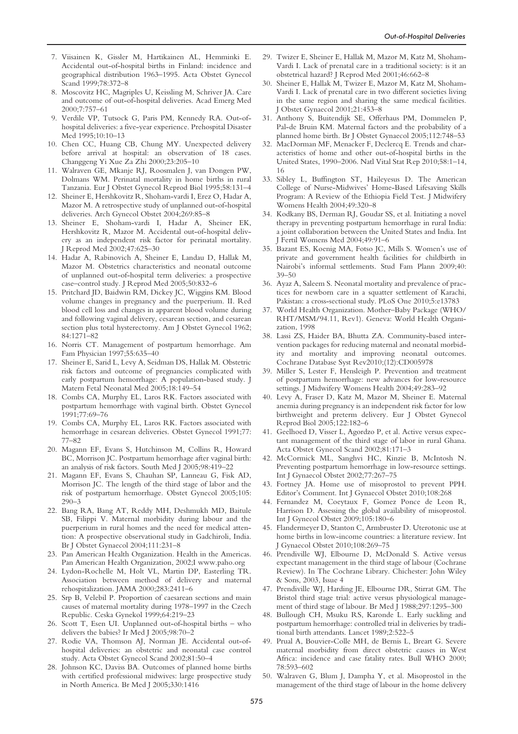- 7. Viisainen K, Gissler M, Hartikainen AL, Hemminki E. Accidental out-of-hospital births in Finland: incidence and geographical distribution 1963–1995. Acta Obstet Gynecol Scand 1999;78:372–8
- 8. Moscovitz HC, Magriples U, Keissling M, Schriver JA. Care and outcome of out-of-hospital deliveries. Acad Emerg Med 2000;7:757–61
- 9. Verdile VP, Tutsock G, Paris PM, Kennedy RA. Out-ofhospital deliveries: a five-year experience. Prehospital Disaster Med 1995;10:10–13
- 10. Chen CC, Huang CB, Chung MY. Unexpected delivery before arrival at hospital: an observation of 18 cases. Changgeng Yi Xue Za Zhi 2000;23:205–10
- 11. Walraven GE, Mkanje RJ, Roosmalen J, van Dongen PW, Dolmans WM. Perinatal mortality in home births in rural Tanzania. Eur J Obstet Gynecol Reprod Biol 1995;58:131–4
- 12. Sheiner E, Hershkovitz R, Shoham-vardi I, Erez O, Hadar A, Mazor M. A retrospective study of unplanned out-of-hospital deliveries. Arch Gynecol Obstet 2004;269:85–8
- 13. Sheiner E, Shoham-vardi I, Hadar A, Sheiner EK, Hershkovitz R, Mazor M. Accidental out-of-hospital delivery as an independent risk factor for perinatal mortality. J Reprod Med 2002;47:625–30
- 14. Hadar A, Rabinovich A, Sheiner E, Landau D, Hallak M, Mazor M. Obstetrics characteristics and neonatal outcome of unplanned out-of-hospital term deliveries: a prospective case–control study. J Reprod Med 2005;50:832–6
- 15. Pritchard JD, Baidwin RM, Dickey JC, Wiggins KM. Blood volume changes in pregnancy and the puerperium. II. Red blood cell loss and changes in apparent blood volume during and following vaginal delivery, cesarean section, and cesarean section plus total hysterectomy. Am J Obstet Gynecol 1962; 84:1271–82
- 16. Norris CT. Management of postpartum hemorrhage. Am Fam Physician 1997;55:635–40
- 17. Sheiner E, Sarid L, Levy A, Seidman DS, Hallak M. Obstetric risk factors and outcome of pregnancies complicated with early postpartum hemorrhage: A population-based study. J Matern Fetal Neonatal Med 2005;18:149–54
- 18. Combs CA, Murphy EL, Laros RK. Factors associated with postpartum hemorrhage with vaginal birth. Obstet Gynecol 1991;77:69–76
- 19. Combs CA, Murphy EL, Laros RK. Factors associated with hemorrhage in cesarean deliveries. Obstet Gynecol 1991;77: 77–82
- 20. Magann EF, Evans S, Hutchinson M, Collins R, Howard BC, Morrison JC. Postpartum hemorrhage after vaginal birth: an analysis of risk factors. South Med J 2005;98:419–22
- 21. Magann EF, Evans S, Chauhan SP, Lanneau G, Fisk AD, Morrison JC. The length of the third stage of labor and the risk of postpartum hemorrhage. Obstet Gynecol 2005;105: 290–3
- 22. Bang RA, Bang AT, Reddy MH, Deshmukh MD, Baitule SB, Filippi V. Maternal morbidity during labour and the puerperium in rural homes and the need for medical attention: A prospective observational study in Gadchiroli, India. Br J Obstet Gynaecol 2004;111:231–8
- 23. Pan American Health Organization. Health in the Americas. Pan American Health Organization, 2002;I www.paho.org
- 24. Lydon-Rochelle M, Holt VL, Martin DP, Easterling TR. Association between method of delivery and maternal rehospitalization. JAMA 2000;283:2411–6
- 25. Srp B, Velebil P. Proportion of caesarean sections and main causes of maternal mortality during 1978–1997 in the Czech Republic. Ceska Gynekol 1999;64:219–23
- 26. Scott T, Esen UI. Unplanned out-of-hospital births who delivers the babies? Ir Med J 2005;98:70–2
- 27. Rodie VA, Thomson AJ, Norman JE. Accidental out-ofhospital deliveries: an obstetric and neonatal case control study. Acta Obstet Gynecol Scand 2002;81:50–4
- 28. Johnson KC, Daviss BA. Outcomes of planned home births with certified professional midwives: large prospective study in North America. Br Med J 2005;330:1416
- 29. Twizer E, Sheiner E, Hallak M, Mazor M, Katz M, Shoham-Vardi I. Lack of prenatal care in a traditional society: is it an obstetrical hazard? J Reprod Med 2001;46:662–8
- 30. Sheiner E, Hallak M, Twizer E, Mazor M, Katz M, Shoham-Vardi I. Lack of prenatal care in two different societies living in the same region and sharing the same medical facilities. J Obstet Gynaecol 2001;21:453–8
- 31. Anthony S, Buitendijk SE, Offerhaus PM, Dommelen P, Pal-de Bruin KM. Maternal factors and the probability of a planned home birth. Br J Obstet Gynaecol 2005;112:748–53
- 32. MacDorman MF, Menacker F, Declercq E. Trends and characteristics of home and other out-of-hospital births in the United States, 1990–2006. Natl Vital Stat Rep 2010;58:1–14, 16
- 33. Sibley L, Buffington ST, Haileyesus D. The American College of Nurse-Midwives' Home-Based Lifesaving Skills Program: A Review of the Ethiopia Field Test. J Midwifery Womens Health 2004;49:320–8
- 34. Kodkany BS, Derman RJ, Goudar SS, et al. Initiating a novel therapy in preventing postpartum hemorrhage in rural India: a joint collaboration between the United States and India. Int J Fertil Womens Med 2004;49:91–6
- 35. Bazant ES, Koenig MA, Fotso JC, Mills S. Women's use of private and government health facilities for childbirth in Nairobi's informal settlements. Stud Fam Plann 2009;40: 39–50
- 36. Ayaz A, Saleem S. Neonatal mortality and prevalence of practices for newborn care in a squatter settlement of Karachi, Pakistan: a cross-sectional study. PLoS One 2010;5:e13783
- 37. World Health Organization. Mother–Baby Package (WHO/ RHT/MSM/94.11, Rev1). Geneva: World Health Organization, 1998
- 38. Lassi ZS, Haider BA, Bhutta ZA. Community-based intervention packages for reducing maternal and neonatal morbidity and mortality and improving neonatal outcomes. Cochrane Database Syst Rev2010;(12):CD005978
- 39. Miller S, Lester F, Hensleigh P. Prevention and treatment of postpartum hemorrhage: new advances for low-resource settings. J Midwifery Womens Health 2004;49:283–92
- 40. Levy A, Fraser D, Katz M, Mazor M, Sheiner E. Maternal anemia during pregnancy is an independent risk factor for low birthweight and preterm delivery. Eur J Obstet Gynecol Reprod Biol 2005;122:182–6
- 41. Geelhoed D, Visser L, Agordzo P, et al. Active versus expectant management of the third stage of labor in rural Ghana. Acta Obstet Gynecol Scand 2002;81:171–3
- 42. McCormick ML, Sanghvi HC, Kinzie B, McIntosh N. Preventing postpartum hemorrhage in low-resource settings. Int J Gynaecol Obstet 2002;77:267–75
- 43. Fortney JA. Home use of misoprostol to prevent PPH. Editor's Comment. Int J Gynaecol Obstet 2010;108:268
- 44. Fernandez M, Coeytaux F, Gomez Ponce de Leon R, Harrison D. Assessing the global availability of misoprostol. Int J Gynecol Obstet 2009;105:180–6
- 45. Flandermeyer D, Stanton C, Armbruster D. Uterotonic use at home births in low-income countries: a literature review. Int J Gynaecol Obstet 2010;108:269–75
- 46. Prendiville WJ, Elbourne D, McDonald S. Active versus expectant management in the third stage of labour (Cochrane Review). In The Cochrane Library. Chichester: John Wiley & Sons, 2003, Issue 4
- 47. Prendiville WJ, Harding JE, Elbourne DR, Stirrat GM. The Bristol third stage trial: active versus physiological management of third stage of labour. Br Med J 1988;297:1295–300
- 48. Bullough CH, Msuku RS, Karonde L. Early suckling and postpartum hemorrhage: controlled trial in deliveries by traditional birth attendants. Lancet 1989;2:522–5
- 49. Prual A, Bouvier-Colle MH, de Bernis L, Breart G. Severe maternal morbidity from direct obstetric causes in West Africa: incidence and case fatality rates. Bull WHO 2000; 78:593–602
- 50. Walraven G, Blum J, Dampha Y, et al. Misoprostol in the management of the third stage of labour in the home delivery